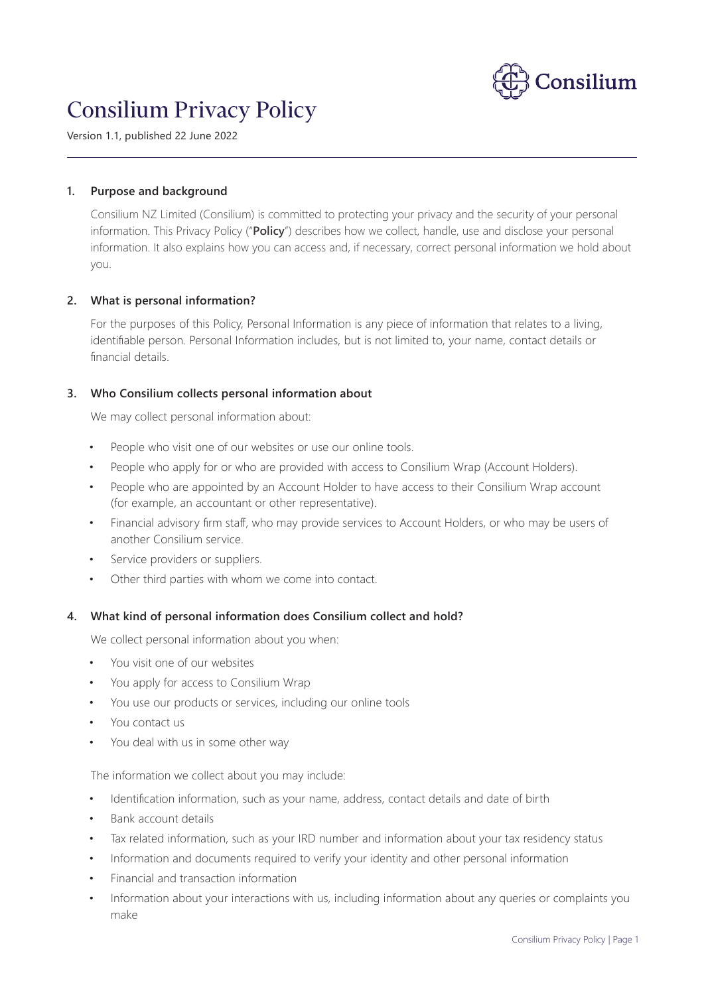

# Consilium Privacy Policy

Version 1.1, published 22 June 2022

### **1. Purpose and background**

Consilium NZ Limited (Consilium) is committed to protecting your privacy and the security of your personal information. This Privacy Policy ("**Policy**") describes how we collect, handle, use and disclose your personal information. It also explains how you can access and, if necessary, correct personal information we hold about you.

# **2. What is personal information?**

For the purposes of this Policy, Personal Information is any piece of information that relates to a living, identifiable person. Personal Information includes, but is not limited to, your name, contact details or financial details.

# **3. Who Consilium collects personal information about**

We may collect personal information about:

- People who visit one of our websites or use our online tools.
- People who apply for or who are provided with access to Consilium Wrap (Account Holders).
- People who are appointed by an Account Holder to have access to their Consilium Wrap account (for example, an accountant or other representative).
- Financial advisory firm staff, who may provide services to Account Holders, or who may be users of another Consilium service.
- Service providers or suppliers.
- Other third parties with whom we come into contact.

#### **4. What kind of personal information does Consilium collect and hold?**

We collect personal information about you when:

- You visit one of our websites
- You apply for access to Consilium Wrap
- You use our products or services, including our online tools
- You contact us
- You deal with us in some other way

The information we collect about you may include:

- Identification information, such as your name, address, contact details and date of birth
- Bank account details
- Tax related information, such as your IRD number and information about your tax residency status
- Information and documents required to verify your identity and other personal information
- Financial and transaction information
- Information about your interactions with us, including information about any queries or complaints you make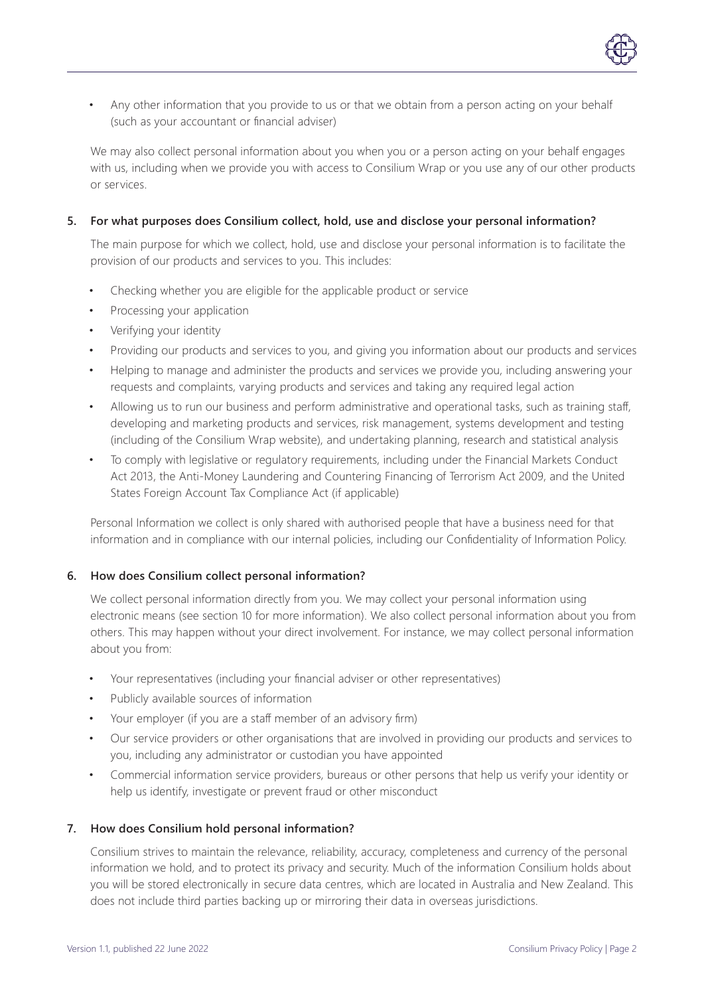Any other information that you provide to us or that we obtain from a person acting on your behalf (such as your accountant or financial adviser)

We may also collect personal information about you when you or a person acting on your behalf engages with us, including when we provide you with access to Consilium Wrap or you use any of our other products or services.

# **5. For what purposes does Consilium collect, hold, use and disclose your personal information?**

The main purpose for which we collect, hold, use and disclose your personal information is to facilitate the provision of our products and services to you. This includes:

- Checking whether you are eligible for the applicable product or service
- Processing your application
- Verifying your identity
- Providing our products and services to you, and giving you information about our products and services
- Helping to manage and administer the products and services we provide you, including answering your requests and complaints, varying products and services and taking any required legal action
- Allowing us to run our business and perform administrative and operational tasks, such as training staff, developing and marketing products and services, risk management, systems development and testing (including of the Consilium Wrap website), and undertaking planning, research and statistical analysis
- To comply with legislative or regulatory requirements, including under the Financial Markets Conduct Act 2013, the Anti-Money Laundering and Countering Financing of Terrorism Act 2009, and the United States Foreign Account Tax Compliance Act (if applicable)

Personal Information we collect is only shared with authorised people that have a business need for that information and in compliance with our internal policies, including our Confidentiality of Information Policy.

# **6. How does Consilium collect personal information?**

We collect personal information directly from you. We may collect your personal information using electronic means (see section 10 for more information). We also collect personal information about you from others. This may happen without your direct involvement. For instance, we may collect personal information about you from:

- Your representatives (including your financial adviser or other representatives)
- Publicly available sources of information
- Your employer (if you are a staff member of an advisory firm)
- Our service providers or other organisations that are involved in providing our products and services to you, including any administrator or custodian you have appointed
- Commercial information service providers, bureaus or other persons that help us verify your identity or help us identify, investigate or prevent fraud or other misconduct

# **7. How does Consilium hold personal information?**

Consilium strives to maintain the relevance, reliability, accuracy, completeness and currency of the personal information we hold, and to protect its privacy and security. Much of the information Consilium holds about you will be stored electronically in secure data centres, which are located in Australia and New Zealand. This does not include third parties backing up or mirroring their data in overseas jurisdictions.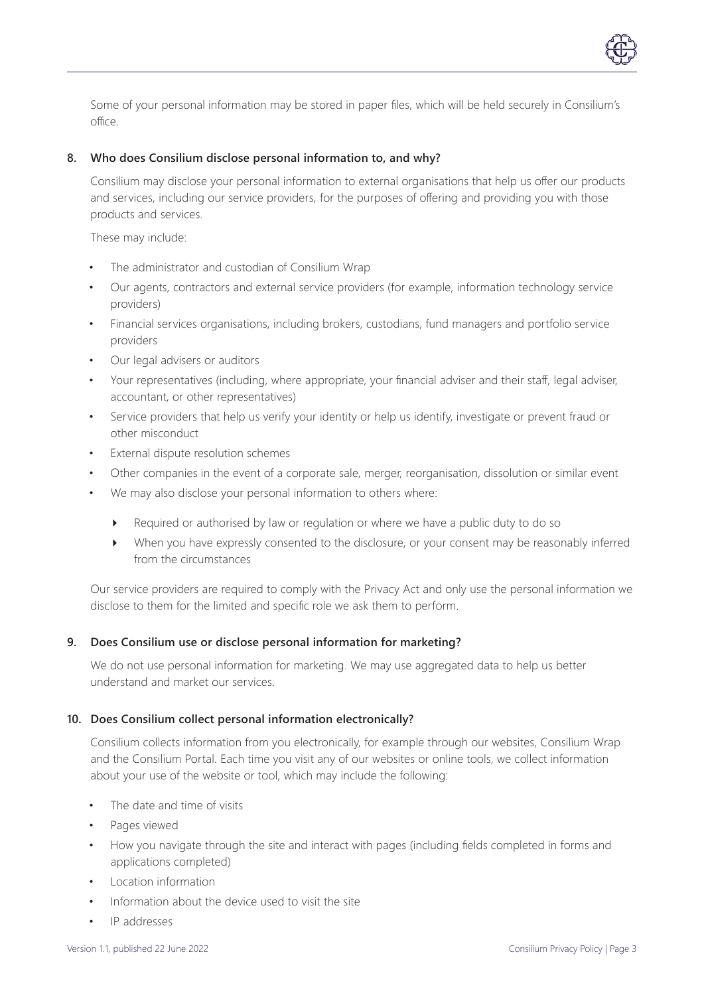

#### **8. Who does Consilium disclose personal information to, and why?**

Consilium may disclose your personal information to external organisations that help us offer our products and services, including our service providers, for the purposes of offering and providing you with those products and services.

These may include:

- The administrator and custodian of Consilium Wrap
- Our agents, contractors and external service providers (for example, information technology service providers)
- Financial services organisations, including brokers, custodians, fund managers and portfolio service providers
- Our legal advisers or auditors
- Your representatives (including, where appropriate, your financial adviser and their staff, legal adviser, accountant, or other representatives)
- Service providers that help us verify your identity or help us identify, investigate or prevent fraud or other misconduct
- External dispute resolution schemes
- Other companies in the event of a corporate sale, merger, reorganisation, dissolution or similar event
- We may also disclose your personal information to others where:
	- Required or authorised by law or regulation or where we have a public duty to do so
	- When you have expressly consented to the disclosure, or your consent may be reasonably inferred from the circumstances

Our service providers are required to comply with the Privacy Act and only use the personal information we disclose to them for the limited and specific role we ask them to perform.

#### **9. Does Consilium use or disclose personal information for marketing?**

We do not use personal information for marketing. We may use aggregated data to help us better understand and market our services.

#### **10. Does Consilium collect personal information electronically?**

Consilium collects information from you electronically, for example through our websites, Consilium Wrap and the Consilium Portal. Each time you visit any of our websites or online tools, we collect information about your use of the website or tool, which may include the following:

- The date and time of visits
- Pages viewed
- How you navigate through the site and interact with pages (including fields completed in forms and applications completed)
- Location information
- Information about the device used to visit the site
- IP addresses